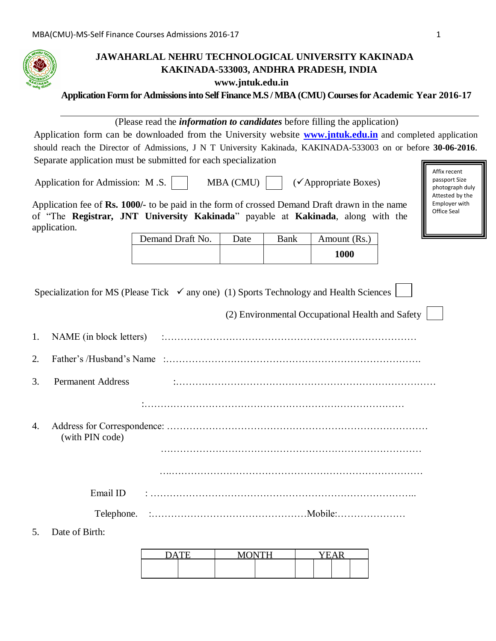## **JAWAHARLAL NEHRU TECHNOLOGICAL UNIVERSITY KAKINADA KAKINADA-533003, ANDHRA PRADESH, INDIA www.jntuk.edu.in**

**Application Form for Admissions into Self Finance M.S / MBA (CMU) Courses for Academic Year 2016-17**

## (Please read the *information to candidates* before filling the application)

Application form can be downloaded from the University website **[www.jntuk.edu.in](http://www.jntuk.edu.in/)** and completed application should reach the Director of Admissions, J N T University Kakinada, KAKINADA-533003 on or before **30-06-2016**. Separate application must be submitted for each specialization

Application for Admission: M.S. | MBA (CMU) |  $\sqrt{\text{Approx}(\sqrt{\text{Approx}}}$  Boxes)

Application fee of **Rs. 1000/-** to be paid in the form of crossed Demand Draft drawn in the name of "The **Registrar, JNT University Kakinada**" payable at **Kakinada**, along with the application.

| Demand Draft No. | Date | Bank | Amount (Rs.) |
|------------------|------|------|--------------|
|                  |      |      | 1000         |

| Specialization for MS (Please Tick $\checkmark$ any one) (1) Sports Technology and Health Sciences $\vert \;\;\;\;\vert$ |  |
|--------------------------------------------------------------------------------------------------------------------------|--|
| (2) Environmental Occupational Health and Safety                                                                         |  |

| 3. Permanent Address |  |
|----------------------|--|

| (with PIN code) |  |
|-----------------|--|
|                 |  |

….……………………………………………………………………

| Emai |  |
|------|--|
|------|--|

5. Date of Birth:

| $\mathbf{r}$ and | $\mathbf{X}$ $\mathbf{A}$ | T/T<br>$\sim$ |  |
|------------------|---------------------------|---------------|--|
|                  |                           |               |  |
|                  |                           |               |  |

Affix recent passport Size photograph duly Attested by the Employer with Office Seal